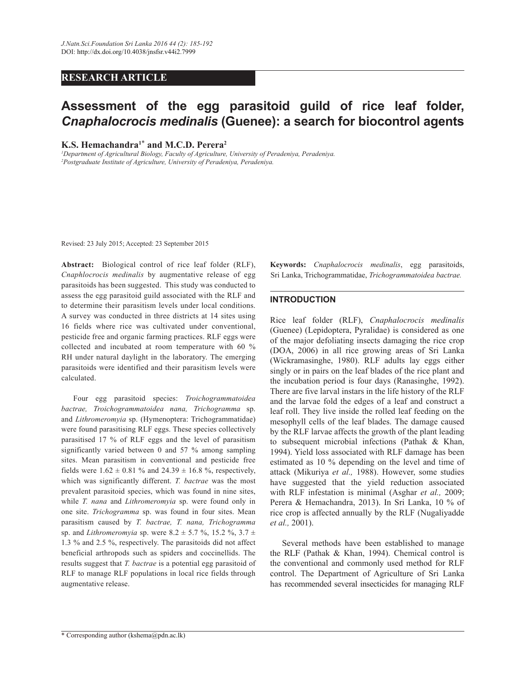## **RESEARCH ARTICLE**

# **Assessment of the egg parasitoid guild of rice leaf folder,**  *Cnaphalocrocis medinalis* **(Guenee): a search for biocontrol agents**

**K.S. Hemachandra<sup>1</sup>**\* **and M.C.D. Perera<sup>2</sup>**

*<sup>1</sup>Department of Agricultural Biology, Faculty of Agriculture, University of Peradeniya, Peradeniya. <sup>2</sup>Postgraduate Institute of Agriculture, University of Peradeniya, Peradeniya.*

Revised: 23 July 2015; Accepted: 23 September 2015

**Abstract:**Biological control of rice leaf folder (RLF), *Cnaphlocrocis medinalis* by augmentative release of egg parasitoids has been suggested. This study was conducted to assess the egg parasitoid guild associated with the RLF and to determine their parasitism levels under local conditions. A survey was conducted in three districts at 14 sites using 16 fields where rice was cultivated under conventional, pesticide free and organic farming practices. RLF eggs were collected and incubated at room temperature with 60 % RH under natural daylight in the laboratory. The emerging parasitoids were identified and their parasitism levels were calculated.

 Four egg parasitoid species: *Troichogrammatoidea bactrae, Troichogrammatoidea nana, Trichogramma* sp. and *Lithromeromyia* sp. (Hymenoptera: Trichogrammatidae) were found parasitising RLF eggs. These species collectively parasitised 17 % of RLF eggs and the level of parasitism significantly varied between 0 and 57 % among sampling sites. Mean parasitism in conventional and pesticide free fields were  $1.62 \pm 0.81$  % and  $24.39 \pm 16.8$  %, respectively, which was significantly different. *T. bactrae* was the most prevalent parasitoid species, which was found in nine sites, while *T. nana* and *Lithromeromyia* sp. were found only in one site. *Trichogramma* sp. was found in four sites. Mean parasitism caused by *T. bactrae, T. nana, Trichogramma*  sp. and *Lithromeromyia* sp. were  $8.2 \pm 5.7$  %,  $15.2$  %,  $3.7 \pm$ 1.3 % and 2.5 %, respectively. The parasitoids did not affect beneficial arthropods such as spiders and coccinellids. The results suggest that *T. bactrae* is a potential egg parasitoid of RLF to manage RLF populations in local rice fields through augmentative release.

**Keywords:** *Cnaphalocrocis medinalis*, egg parasitoids, Sri Lanka, Trichogrammatidae, *Trichogrammatoidea bactrae.*

## **INTRODUCTION**

Rice leaf folder (RLF), *Cnaphalocrocis medinalis*  (Guenee) (Lepidoptera, Pyralidae) is considered as one of the major defoliating insects damaging the rice crop (DOA, 2006) in all rice growing areas of Sri Lanka (Wickramasinghe, 1980). RLF adults lay eggs either singly or in pairs on the leaf blades of the rice plant and the incubation period is four days (Ranasinghe, 1992). There are five larval instars in the life history of the RLF and the larvae fold the edges of a leaf and construct a leaf roll. They live inside the rolled leaf feeding on the mesophyll cells of the leaf blades. The damage caused by the RLF larvae affects the growth of the plant leading to subsequent microbial infections (Pathak & Khan, 1994). Yield loss associated with RLF damage has been estimated as 10 % depending on the level and time of attack (Mikuriya *et al.,* 1988). However, some studies have suggested that the yield reduction associated with RLF infestation is minimal (Asghar *et al.,* 2009; Perera & Hemachandra, 2013). In Sri Lanka, 10 % of rice crop is affected annually by the RLF (Nugaliyadde *et al.,* 2001).

 Several methods have been established to manage the RLF (Pathak & Khan, 1994). Chemical control is the conventional and commonly used method for RLF control. The Department of Agriculture of Sri Lanka has recommended several insecticides for managing RLF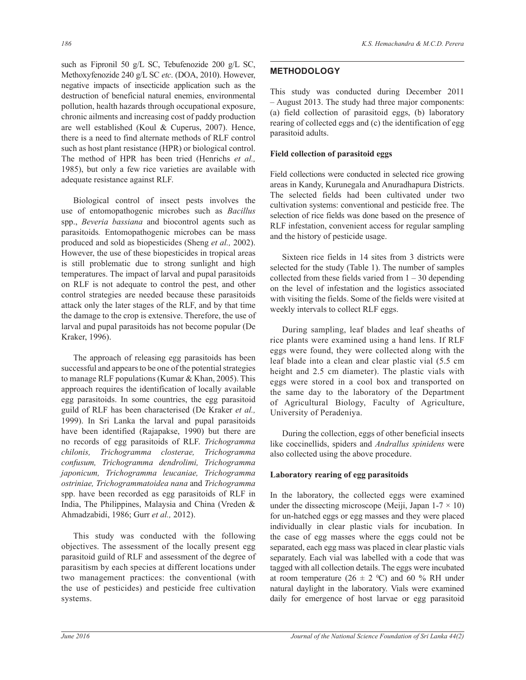such as Fipronil 50 g/L SC, Tebufenozide 200 g/L SC, Methoxyfenozide 240 g/L SC *etc*. (DOA, 2010). However, negative impacts of insecticide application such as the destruction of beneficial natural enemies, environmental pollution, health hazards through occupational exposure, chronic ailments and increasing cost of paddy production are well established (Koul & Cuperus, 2007). Hence, there is a need to find alternate methods of RLF control such as host plant resistance (HPR) or biological control. The method of HPR has been tried (Henrichs *et al.,* 1985), but only a few rice varieties are available with adequate resistance against RLF.

 Biological control of insect pests involves the use of entomopathogenic microbes such as *Bacillus* spp., *Beveria bassiana* and biocontrol agents such as parasitoids*.* Entomopathogenic microbes can be mass produced and sold as biopesticides (Sheng *et al.,* 2002). However, the use of these biopesticides in tropical areas is still problematic due to strong sunlight and high temperatures. The impact of larval and pupal parasitoids on RLF is not adequate to control the pest, and other control strategies are needed because these parasitoids attack only the later stages of the RLF, and by that time the damage to the crop is extensive. Therefore, the use of larval and pupal parasitoids has not become popular (De Kraker, 1996).

 The approach of releasing egg parasitoids has been successful and appears to be one of the potential strategies to manage RLF populations (Kumar & Khan, 2005). This approach requires the identification of locally available egg parasitoids. In some countries, the egg parasitoid guild of RLF has been characterised (De Kraker *et al.,*  1999). In Sri Lanka the larval and pupal parasitoids have been identified (Rajapakse, 1990) but there are no records of egg parasitoids of RLF. *Trichogramma chilonis, Trichogramma closterae, Trichogramma confusum, Trichogramma dendrolimi, Trichogramma japonicum, Trichogramma leucaniae, Trichogramma ostriniae, Trichogrammatoidea nana* and *Trichogramma* spp. have been recorded as egg parasitoids of RLF in India, The Philippines, Malaysia and China (Vreden & Ahmadzabidi, 1986; Gurr *et al.,* 2012).

 This study was conducted with the following objectives. The assessment of the locally present egg parasitoid guild of RLF and assessment of the degree of parasitism by each species at different locations under two management practices: the conventional (with the use of pesticides) and pesticide free cultivation systems.

# **METHODOLOGY**

This study was conducted during December 2011 – August 2013. The study had three major components: (a) field collection of parasitoid eggs, (b) laboratory rearing of collected eggs and (c) the identification of egg parasitoid adults.

## **Field collection of parasitoid eggs**

Field collections were conducted in selected rice growing areas in Kandy, Kurunegala and Anuradhapura Districts. The selected fields had been cultivated under two cultivation systems: conventional and pesticide free. The selection of rice fields was done based on the presence of RLF infestation, convenient access for regular sampling and the history of pesticide usage.

 Sixteen rice fields in 14 sites from 3 districts were selected for the study (Table 1). The number of samples collected from these fields varied from  $1 - 30$  depending on the level of infestation and the logistics associated with visiting the fields. Some of the fields were visited at weekly intervals to collect RLF eggs.

 During sampling, leaf blades and leaf sheaths of rice plants were examined using a hand lens. If RLF eggs were found, they were collected along with the leaf blade into a clean and clear plastic vial (5.5 cm height and 2.5 cm diameter). The plastic vials with eggs were stored in a cool box and transported on the same day to the laboratory of the Department of Agricultural Biology, Faculty of Agriculture, University of Peradeniya.

 During the collection, eggs of other beneficial insects like coccinellids, spiders and *Andrallus spinidens* were also collected using the above procedure.

## **Laboratory rearing of egg parasitoids**

In the laboratory, the collected eggs were examined under the dissecting microscope (Meiji, Japan  $1-7 \times 10$ ) for un-hatched eggs or egg masses and they were placed individually in clear plastic vials for incubation. In the case of egg masses where the eggs could not be separated, each egg mass was placed in clear plastic vials separately. Each vial was labelled with a code that was tagged with all collection details. The eggs were incubated at room temperature ( $26 \pm 2$  °C) and 60 % RH under natural daylight in the laboratory. Vials were examined daily for emergence of host larvae or egg parasitoid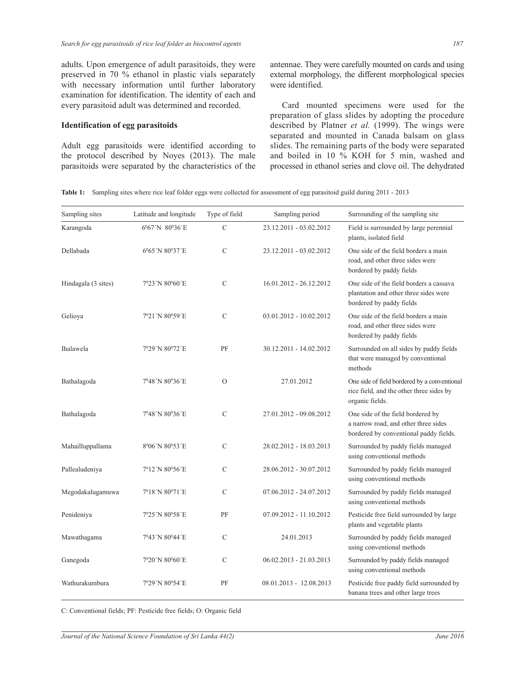adults. Upon emergence of adult parasitoids, they were preserved in 70 % ethanol in plastic vials separately with necessary information until further laboratory examination for identification. The identity of each and every parasitoid adult was determined and recorded.

#### **Identification of egg parasitoids**

Adult egg parasitoids were identified according to the protocol described by Noyes (2013). The male parasitoids were separated by the characteristics of the antennae. They were carefully mounted on cards and using external morphology, the different morphological species were identified.

 Card mounted specimens were used for the preparation of glass slides by adopting the procedure described by Platner *et al.* (1999). The wings were separated and mounted in Canada balsam on glass slides. The remaining parts of the body were separated and boiled in 10 % KOH for 5 min, washed and processed in ethanol series and clove oil. The dehydrated

**Table 1:** Sampling sites where rice leaf folder eggs were collected for assessment of egg parasitoid guild during 2011 - 2013

| Sampling sites      | Latitude and longitude                   | Type of field | Sampling period           | Surrounding of the sampling site                                                                                    |
|---------------------|------------------------------------------|---------------|---------------------------|---------------------------------------------------------------------------------------------------------------------|
| Karangoda           | 6%7'N 80%36'E                            | $\mathcal{C}$ | 23.12.2011 - 03.02.2012   | Field is surrounded by large perennial<br>plants, isolated field                                                    |
| Dellabada           | 6%5'N 80%37'E                            | $\mathcal{C}$ | 23.12.2011 - 03.02.2012   | One side of the field borders a main<br>road, and other three sides were<br>bordered by paddy fields                |
| Hindagala (3 sites) | 7°23'N 80°60'E                           | $\mathcal{C}$ | 16.01.2012 - 26.12.2012   | One side of the field borders a cassava<br>plantation and other three sides were<br>bordered by paddy fields        |
| Gelioya             | $7^{\circ}21'$ N 80 $^{\circ}59'$ E      | $\mathcal{C}$ | 03.01.2012 - 10.02.2012   | One side of the field borders a main<br>road, and other three sides were<br>bordered by paddy fields                |
| Ihalawela           | 7°29'N 80°72'E                           | PF            | 30.12.2011 - 14.02.2012   | Surrounded on all sides by paddy fields<br>that were managed by conventional<br>methods                             |
| Bathalagoda         | 7º48´N 80º36´E                           | $\mathcal{O}$ | 27.01.2012                | One side of field bordered by a conventional<br>rice field, and the other three sides by<br>organic fields.         |
| Bathalagoda         | 7°48′N 80°36′E                           | $\mathbf C$   | 27.01.2012 - 09.08.2012   | One side of the field bordered by<br>a narrow road, and other three sides<br>bordered by conventional paddy fields. |
| Mahailluppallama    | 8 <sup>0</sup> 06'N 80 <sup>0</sup> 53'E | C             | 28.02.2012 - 18.03.2013   | Surrounded by paddy fields managed<br>using conventional methods                                                    |
| Pallealudeniya      | $7^{\circ}12'$ N 80 $^{\circ}56'$ E      | C             | 28.06.2012 - 30.07.2012   | Surrounded by paddy fields managed<br>using conventional methods                                                    |
| Megodakalugamuwa    | 7018'N 80071'E                           | $\mathbf C$   | 07.06.2012 - 24.07.2012   | Surrounded by paddy fields managed<br>using conventional methods                                                    |
| Penideniya          | 7º25´N 80º58´E                           | PF            | 07.09.2012 - 11.10.2012   | Pesticide free field surrounded by large<br>plants and vegetable plants                                             |
| Mawathagama         | 7°43′N 80°44′E                           | C             | 24.01.2013                | Surrounded by paddy fields managed<br>using conventional methods                                                    |
| Ganegoda            | 7°20'N 80°60'E                           | $\mathcal{C}$ | 06.02.2013 - 21.03.2013   | Surrounded by paddy fields managed<br>using conventional methods                                                    |
| Wathurakumbura      | 7º29´N 80º54´E                           | PF            | $08.01.2013 - 12.08.2013$ | Pesticide free paddy field surrounded by<br>banana trees and other large trees                                      |

C: Conventional fields; PF: Pesticide free fields; O: Organic field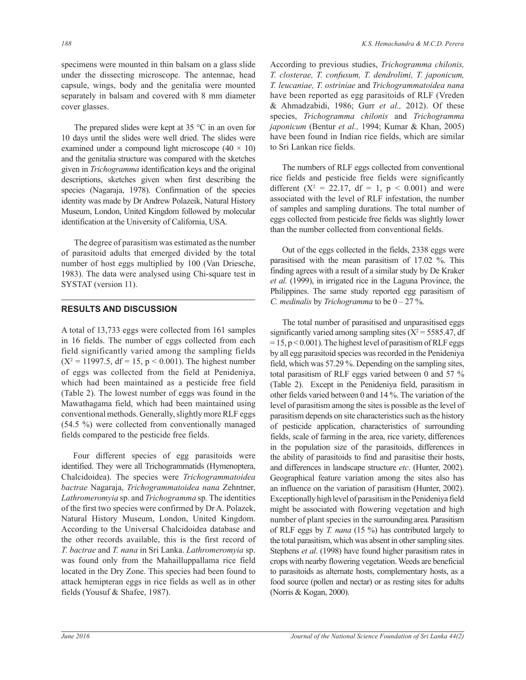specimens were mounted in thin balsam on a glass slide under the dissecting microscope. The antennae, head capsule, wings, body and the genitalia were mounted separately in balsam and covered with 8 mm diameter cover glasses.

 The prepared slides were kept at 35 °C in an oven for 10 days until the slides were well dried. The slides were examined under a compound light microscope  $(40 \times 10)$ and the genitalia structure was compared with the sketches given in *Trichogramma* identification keys and the original descriptions, sketches given when first describing the species (Nagaraja, 1978). Confirmation of the species identity was made by Dr Andrew Polazeik, Natural History Museum, London, United Kingdom followed by molecular identification at the University of California, USA.

 The degree of parasitism was estimated as the number of parasitoid adults that emerged divided by the total number of host eggs multiplied by 100 (Van Driesche, 1983). The data were analysed using Chi-square test in SYSTAT (version 11).

### **RESULTS AND DISCUSSION**

A total of 13,733 eggs were collected from 161 samples in 16 fields. The number of eggs collected from each field significantly varied among the sampling fields  $(X^2 = 11997.5, df = 15, p < 0.001)$ . The highest number of eggs was collected from the field at Penideniya, which had been maintained as a pesticide free field (Table 2). The lowest number of eggs was found in the Mawathagama field, which had been maintained using conventional methods. Generally, slightly more RLF eggs (54.5 %) were collected from conventionally managed fields compared to the pesticide free fields.

 Four different species of egg parasitoids were identified. They were all Trichogrammatids (Hymenoptera, Chalcidoidea). The species were *Trichogrammatoidea bactrae* Nagaraja, *Trichogrammatoidea nana* Zehntner, *Lathromeromyia* sp. and *Trichogramma* sp*.* The identities of the first two species were confirmed by Dr A. Polazek, Natural History Museum, London, United Kingdom. According to the Universal Chalcidoidea database and the other records available, this is the first record of *T. bactrae* and *T. nana* in Sri Lanka. *Lathromeromyia* sp. was found only from the Mahailluppallama rice field located in the Dry Zone. This species had been found to attack hemipteran eggs in rice fields as well as in other fields (Yousuf & Shafee, 1987).

According to previous studies, *Trichogramma chilonis, T. closterae, T. confusum, T. dendrolimi, T. japonicum, T. leucaniae, T. ostriniae* and *Trichogrammatoidea nana*  have been reported as egg parasitoids of RLF (Vreden & Ahmadzabidi, 1986; Gurr *et al.,* 2012). Of these species, *Trichogramma chilonis* and *Trichogramma japonicum* (Bentur *et al.,* 1994; Kumar & Khan, 2005) have been found in Indian rice fields, which are similar to Sri Lankan rice fields.

 The numbers of RLF eggs collected from conventional rice fields and pesticide free fields were significantly different ( $X^2 = 22.17$ , df = 1, p < 0.001) and were associated with the level of RLF infestation, the number of samples and sampling durations. The total number of eggs collected from pesticide free fields was slightly lower than the number collected from conventional fields.

 Out of the eggs collected in the fields, 2338 eggs were parasitised with the mean parasitism of 17.02 %. This finding agrees with a result of a similar study by De Kraker *et al.* (1999), in irrigated rice in the Laguna Province, the Philippines. The same study reported egg parasitism of *C. medinalis* by *Trichogramma* to be 0 – 27 %.

 The total number of parasitised and unparasitised eggs significantly varied among sampling sites  $(X^2 = 5585.47, df)$  $= 15$ , p < 0.001). The highest level of parasitism of RLF eggs by all egg parasitoid species was recorded in the Penideniya field, which was 57.29 %. Depending on the sampling sites, total parasitism of RLF eggs varied between 0 and 57 % (Table 2). Except in the Penideniya field, parasitism in other fields varied between 0 and 14 %. The variation of the level of parasitism among the sites is possible as the level of parasitism depends on site characteristics such as the history of pesticide application, characteristics of surrounding fields, scale of farming in the area, rice variety, differences in the population size of the parasitoids, differences in the ability of parasitoids to find and parasitise their hosts, and differences in landscape structure *etc*. (Hunter, 2002). Geographical feature variation among the sites also has an influence on the variation of parasitism (Hunter, 2002). Exceptionally high level of parasitism in the Penideniya field might be associated with flowering vegetation and high number of plant species in the surrounding area. Parasitism of RLF eggs by *T. nana* (15 %) has contributed largely to the total parasitism, which was absent in other sampling sites. Stephens *et al*. (1998) have found higher parasitism rates in crops with nearby flowering vegetation. Weeds are beneficial to parasitoids as alternate hosts, complementary hosts, as a food source (pollen and nectar) or as resting sites for adults (Norris & Kogan, 2000).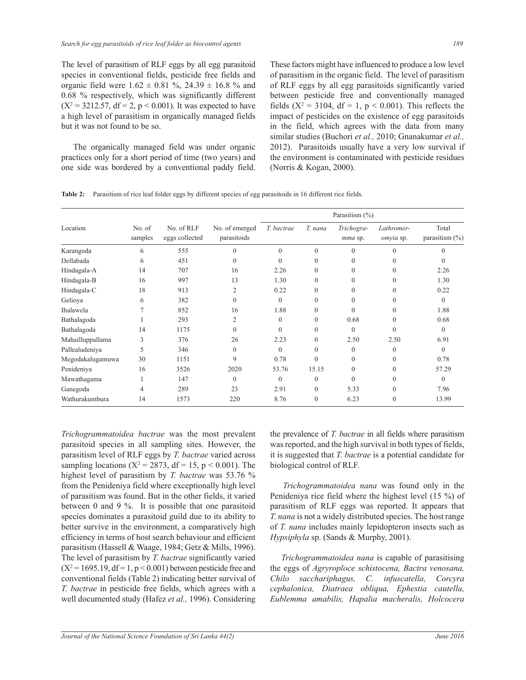The level of parasitism of RLF eggs by all egg parasitoid species in conventional fields, pesticide free fields and organic field were  $1.62 \pm 0.81$  %,  $24.39 \pm 16.8$  % and 0.68 % respectively, which was significantly different  $(X^2 = 3212.57, df = 2, p < 0.001)$ . It was expected to have a high level of parasitism in organically managed fields but it was not found to be so.

 The organically managed field was under organic practices only for a short period of time (two years) and one side was bordered by a conventional paddy field. These factors might have influenced to produce a low level of parasitism in the organic field. The level of parasitism of RLF eggs by all egg parasitoids significantly varied between pesticide free and conventionally managed fields ( $X^2 = 3104$ , df = 1, p < 0.001). This reflects the impact of pesticides on the existence of egg parasitoids in the field, which agrees with the data from many similar studies (Buchori *et al.,* 2010; Gnanakumar *et al.,*  2012). Parasitoids usually have a very low survival if the environment is contaminated with pesticide residues (Norris & Kogan, 2000).

|  |  |  |  |  |  | Table 2: Parasitism of rice leaf folder eggs by different species of egg parasitoids in 16 different rice fields. |
|--|--|--|--|--|--|-------------------------------------------------------------------------------------------------------------------|
|--|--|--|--|--|--|-------------------------------------------------------------------------------------------------------------------|

|                  |                   |                              |                               |            |              | Parasitism (%)        |                         |                             |
|------------------|-------------------|------------------------------|-------------------------------|------------|--------------|-----------------------|-------------------------|-----------------------------|
| Location         | No. of<br>samples | No. of RLF<br>eggs collected | No. of emerged<br>parasitoids | T. bactrae | T. nana      | Trichogra-<br>mma sp. | Lathromer-<br>omyia sp. | Total<br>parasitism $(\% )$ |
| Karangoda        | 6                 | 555                          | $\theta$                      | $\theta$   | $\mathbf{0}$ | $\theta$              | $\Omega$                | $\Omega$                    |
| Dellabada        | 6                 | 451                          | $\theta$                      | $\theta$   | $\theta$     | $\theta$              |                         |                             |
| Hindagala-A      | 14                | 707                          | 16                            | 2.26       | $\theta$     | $\theta$              | $\Omega$                | 2.26                        |
| Hindagala-B      | 16                | 997                          | 13                            | 1.30       | $\theta$     | $\theta$              | $\Omega$                | 1.30                        |
| Hindagala-C      | 18                | 913                          | $\overline{2}$                | 0.22       | $\theta$     | $\Omega$              | $\Omega$                | 0.22                        |
| Gelioya          | 6                 | 382                          | $\mathbf{0}$                  | $\theta$   | $\theta$     | $\theta$              |                         | $\Omega$                    |
| Ihalawela        | 7                 | 852                          | 16                            | 1.88       | $\theta$     | $\Omega$              | $\Omega$                | 1.88                        |
| Bathalagoda      |                   | 293                          | 2                             | $\theta$   | $\mathbf{0}$ | 0.68                  | $\Omega$                | 0.68                        |
| Bathalagoda      | 14                | 1175                         | $\theta$                      | $\Omega$   | $\theta$     | $\Omega$              | $\Omega$                | $\Omega$                    |
| Mahailluppallama | 3                 | 376                          | 26                            | 2.23       | $\mathbf{0}$ | 2.50                  | 2.50                    | 6.91                        |
| Pallealudeniya   | 5                 | 346                          | $\mathbf{0}$                  | $\theta$   | $\theta$     | $\theta$              | $\Omega$                | $\Omega$                    |
| Megodakalugamuwa | 30                | 1151                         | 9                             | 0.78       | $\Omega$     | $\theta$              | $\theta$                | 0.78                        |
| Penideniya       | 16                | 3526                         | 2020                          | 53.76      | 15.15        | $\theta$              | $\Omega$                | 57.29                       |
| Mawathagama      |                   | 147                          | $\mathbf{0}$                  | $\theta$   | $\theta$     | $\theta$              | $\Omega$                | $\Omega$                    |
| Ganegoda         | 4                 | 289                          | 23                            | 2.91       | $\theta$     | 5.33                  | $\Omega$                | 7.96                        |
| Wathurakumbura   | 14                | 1573                         | 220                           | 8.76       | $\theta$     | 6.23                  | $\theta$                | 13.99                       |

*Trichogrammatoidea bactrae* was the most prevalent parasitoid species in all sampling sites. However, the parasitism level of RLF eggs by *T. bactrae* varied across sampling locations ( $X^2 = 2873$ , df = 15, p < 0.001). The highest level of parasitism by *T. bactrae* was 53.76 % from the Penideniya field where exceptionally high level of parasitism was found. But in the other fields, it varied between 0 and 9 %. It is possible that one parasitoid species dominates a parasitoid guild due to its ability to better survive in the environment, a comparatively high efficiency in terms of host search behaviour and efficient parasitism (Hassell & Waage, 1984; Getz & Mills, 1996). The level of parasitism by *T. bactrae* significantly varied  $(X^2 = 1695.19, df = 1, p < 0.001)$  between pesticide free and conventional fields (Table 2) indicating better survival of *T. bactrae* in pesticide free fields, which agrees with a well documented study (Hafez *et al.,* 1996). Considering

the prevalence of *T. bactrae* in all fields where parasitism was reported, and the high survival in both types of fields, it is suggested that *T. bactrae* is a potential candidate for biological control of RLF.

 *Trichogrammatoidea nana* was found only in the Penideniya rice field where the highest level (15 %) of parasitism of RLF eggs was reported. It appears that *T. nana* is not a widely distributed species. The host range of *T. nana* includes mainly lepidopteron insects such as *Hypsiphyla* sp. (Sands & Murphy, 2001).

 *Trichogrammatoidea nana* is capable of parasitising the eggs of *Agryroploce schistocena, Bactra venosana, Chilo sacchariphagus, C. infuscatella, Corcyra cephalonica, Diatraea obliqua, Ephestia cautella, Eublemma amabilis, Hapalia macheralis, Holcocera*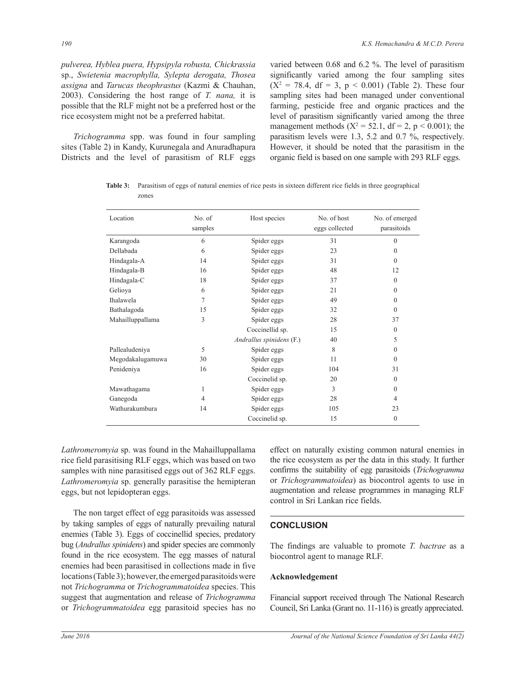*pulverea, Hyblea puera, Hypsipyla robusta, Chickrassia*  sp., *Swietenia macrophylla, Sylepta derogata, Thosea assigna* and *Tarucas theophrastus* (Kazmi & Chauhan, 2003). Considering the host range of *T. nana,* it is possible that the RLF might not be a preferred host or the rice ecosystem might not be a preferred habitat.

 *Trichogramma* spp. was found in four sampling sites (Table 2) in Kandy, Kurunegala and Anuradhapura Districts and the level of parasitism of RLF eggs varied between 0.68 and 6.2 %. The level of parasitism significantly varied among the four sampling sites  $(X^2 = 78.4, df = 3, p < 0.001)$  (Table 2). These four sampling sites had been managed under conventional farming, pesticide free and organic practices and the level of parasitism significantly varied among the three management methods ( $X^2 = 52.1$ , df = 2, p < 0.001); the parasitism levels were 1.3, 5.2 and 0.7 %, respectively. However, it should be noted that the parasitism in the organic field is based on one sample with 293 RLF eggs.

**Table 3:** Parasitism of eggs of natural enemies of rice pests in sixteen different rice fields in three geographical zones

| Location         | No. of<br>samples | Host species             | No. of host<br>eggs collected | No. of emerged<br>parasitoids |
|------------------|-------------------|--------------------------|-------------------------------|-------------------------------|
| Karangoda        | 6                 | Spider eggs              | 31                            | $\theta$                      |
| Dellabada        | 6                 | Spider eggs              | 23                            | $\theta$                      |
| Hindagala-A      | 14                | Spider eggs              | 31                            | $\theta$                      |
| Hindagala-B      | 16                | Spider eggs              | 48                            | 12                            |
| Hindagala-C      | 18                | Spider eggs              | 37                            | $\theta$                      |
| Geliova          | 6                 | Spider eggs              | 21                            | $\theta$                      |
| Ihalawela        | 7                 | Spider eggs              | 49                            | $\theta$                      |
| Bathalagoda      | 15                | Spider eggs              | 32                            | $\theta$                      |
| Mahailluppallama | 3                 | Spider eggs              | 28                            | 37                            |
|                  |                   | Coccinellid sp.          | 15                            | $\mathbf{0}$                  |
|                  |                   | Andrallus spinidens (F.) | 40                            | 5                             |
| Pallealudeniya   | 5                 | Spider eggs              | 8                             | $\theta$                      |
| Megodakalugamuwa | 30                | Spider eggs              | 11                            | $\theta$                      |
| Penideniya       | 16                | Spider eggs              | 104                           | 31                            |
|                  |                   | Coccinelid sp.           | 20                            | $\overline{0}$                |
| Mawathagama      | 1                 | Spider eggs              | 3                             | $\theta$                      |
| Ganegoda         | 4                 | Spider eggs              | 28                            | 4                             |
| Wathurakumbura   | 14                | Spider eggs              | 105                           | 23                            |
|                  |                   | Coccinelid sp.           | 15                            | $\mathbf{0}$                  |

*Lathromeromyia* sp. was found in the Mahailluppallama rice field parasitising RLF eggs, which was based on two samples with nine parasitised eggs out of 362 RLF eggs. *Lathromeromyia* sp. generally parasitise the hemipteran eggs, but not lepidopteran eggs.

 The non target effect of egg parasitoids was assessed by taking samples of eggs of naturally prevailing natural enemies (Table 3). Eggs of coccinellid species, predatory bug (*Andrallus spinidens*) and spider species are commonly found in the rice ecosystem. The egg masses of natural enemies had been parasitised in collections made in five locations (Table 3); however, the emerged parasitoids were not *Trichogramma* or *Trichogrammatoidea* species. This suggest that augmentation and release of *Trichogramma*  or *Trichogrammatoidea* egg parasitoid species has no effect on naturally existing common natural enemies in the rice ecosystem as per the data in this study. It further confirms the suitability of egg parasitoids (*Trichogramma*  or *Trichogrammatoidea*) as biocontrol agents to use in augmentation and release programmes in managing RLF control in Sri Lankan rice fields.

## **CONCLUSION**

The findings are valuable to promote *T. bactrae* as a biocontrol agent to manage RLF.

#### **Acknowledgement**

Financial support received through The National Research Council, Sri Lanka (Grant no. 11-116) is greatly appreciated.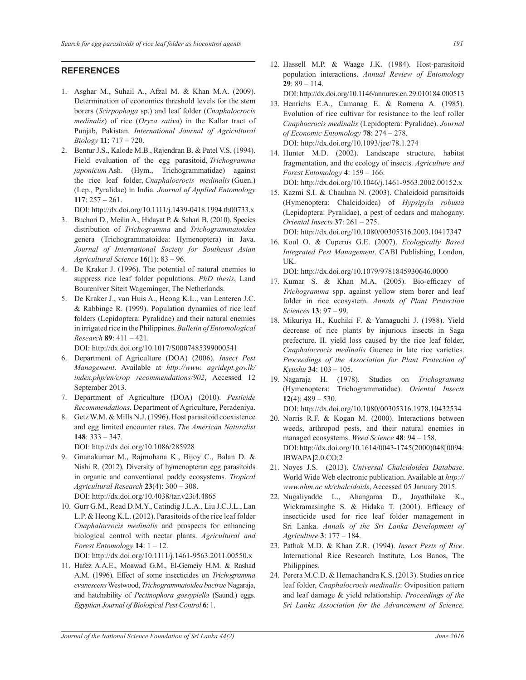## **REFERENCES**

- 1. Asghar M., Suhail A., Afzal M. & Khan M.A. (2009). Determination of economics threshold levels for the stem borers (*Scirpophaga* sp.) and leaf folder (*Cnaphalocrocis medinalis*) of rice (*Oryza sativa*) in the Kallar tract of Punjab, Pakistan. *International Journal of Agricultural Biology* **11**: 717 – 720.
- 2. Bentur J.S., Kalode M.B., Rajendran B. & Patel V.S. (1994). Field evaluation of the egg parasitoid, *Trichogramma japonicum* Ash. (Hym., Trichogrammatidae) against the rice leaf folder, *Cnaphalocrocis medinalis* (Guen.) (Lep., Pyralidae) in India*. Journal of Applied Entomology* **117**: 257 **–** 261.

DOI: http://dx.doi.org/10.1111/j.1439-0418.1994.tb00733.x

- 3. Buchori D., Meilin A., Hidayat P. & Sahari B. (2010). Species distribution of *Trichogramma* and *Trichogrammatoidea*  genera (Trichogrammatoidea: Hymenoptera) in Java. *Journal of International Society for Southeast Asian Agricultural Science* **16**(1): 83 – 96.
- 4. De Kraker J. (1996). The potential of natural enemies to suppress rice leaf folder populations. *PhD thesis*, Land Boureniver Siteit Wageminger, The Netherlands.
- 5. De Kraker J., van Huis A., Heong K.L., van Lenteren J.C. & Rabbinge R. (1999). Population dynamics of rice leaf folders (Lepidoptera: Pyralidae) and their natural enemies in irrigated rice in the Philippines. *Bulletin of Entomological Research* **89**: 411 – 421.

DOI: http://dx.doi.org/10.1017/S0007485399000541

- 6. Department of Agriculture (DOA) (2006). *Insect Pest Management*. Available at *http://www. agridept.gov.lk/ index.php/en/crop recommendations/902*, Accessed 12 September 2013.
- 7. Department of Agriculture (DOA) (2010). *Pesticide Recommendations*. Department of Agriculture, Peradeniya.
- 8. Getz W.M. & Mills N.J. (1996). Host parasitoid coexistence and egg limited encounter rates. *The American Naturalist* **148**: 333 – 347.

DOI: http://dx.doi.org/10.1086/285928

- 9. Gnanakumar M., Rajmohana K., Bijoy C., Balan D. & Nishi R. (2012). Diversity of hymenopteran egg parasitoids in organic and conventional paddy ecosystems. *Tropical Agricultural Research* **23**(4): 300 – 308. DOI: http://dx.doi.org/10.4038/tar.v23i4.4865
- 10. Gurr G.M., Read D.M.Y., Catindig J.L.A., Liu J.C.J.L., Lan L.P. & Heong K.L. (2012). Parasitoids of the rice leaf folder *Cnaphalocrocis medinalis* and prospects for enhancing biological control with nectar plants. *Agricultural and Forest Entomology* **14**: 1 – 12.

DOI: http://dx.doi.org/10.1111/j.1461-9563.2011.00550.x

11. Hafez A.A.E., Moawad G.M., El-Gemeiy H.M. & Rashad A.M. (1996). Effect of some insecticides on *Trichogramma evanescens* Westwood, *Trichogrammatoidea bactrae* Nagaraja, and hatchability of *Pectinophora gossypiella* (Saund.) eggs. *Egyptian Journal of Biological Pest Control* **6**: 1.

12. Hassell M.P. & Waage J.K. (1984). Host-parasitoid population interactions. *Annual Review of Entomology* **29**: 89 – 114.

DOI: http://dx.doi.org/10.1146/annurev.en.29.010184.000513

- 13. Henrichs E.A., Camanag E. & Romena A. (1985). Evolution of rice cultivar for resistance to the leaf roller *Cnaphocrocis medinalis* (Lepidoptera: Pyralidae). *Journal of Economic Entomology* **78**: 274 – 278. DOI: http://dx.doi.org/10.1093/jee/78.1.274
- 14. Hunter M.D. (2002). Landscape structure, habitat fragmentation, and the ecology of insects. *Agriculture and Forest Entomology* **4**: 159 – 166. DOI: http://dx.doi.org/10.1046/j.1461-9563.2002.00152.x
- 15. Kazmi S.I. & Chauhan N. (2003). Chalcidoid parasitoids (Hymenoptera: Chalcidoidea) of *Hypsipyla robusta*  (Lepidoptera: Pyralidae), a pest of cedars and mahogany. *Oriental Insects* **37**: 261 – 275.

DOI: http://dx.doi.org/10.1080/00305316.2003.10417347

16. Koul O. & Cuperus G.E. (2007). *Ecologically Based Integrated Pest Management*. CABI Publishing, London, UK.

DOI: http://dx.doi.org/10.1079/9781845930646.0000

- 17. Kumar S. & Khan M.A. (2005). Bio-efficacy of *Trichogramma* spp. against yellow stem borer and leaf folder in rice ecosystem. *Annals of Plant Protection Sciences* **13**: 97 – 99.
- 18. Mikuriya H., Kuchiki F. & Yamaguchi J. (1988). Yield decrease of rice plants by injurious insects in Saga prefecture. II. yield loss caused by the rice leaf folder, *Cnaphalocrocis medinalis* Guenee in late rice varieties. *Proceedings of the Association for Plant Protection of Kyushu* **34**: 103 – 105.
- 19. Nagaraja H. (1978). Studies on *Trichogramma*  (Hymenoptera: Trichogrammatidae). *Oriental Insects* **12**(4): 489 – 530.

DOI: http://dx.doi.org/10.1080/00305316.1978.10432534

- 20. Norris R.F. & Kogan M. (2000). Interactions between weeds, arthropod pests, and their natural enemies in managed ecosystems. *Weed Science* **48**: 94 – 158. DOI: http://dx.doi.org/10.1614/0043-1745(2000)048[0094: IBWAPA]2.0.CO;2
- 21. Noyes J.S. (2013). *Universal Chalcidoidea Database*. World Wide Web electronic publication. Available at *http:// www.nhm.ac.uk/chalcidoids*, Accessed 05 January 2015.
- 22. Nugaliyadde L., Ahangama D., Jayathilake K., Wickramasinghe S. & Hidaka T. (2001). Efficacy of insecticide used for rice leaf folder management in Sri Lanka. *Annals of the Sri Lanka Development of Agriculture* **3**: 177 – 184.
- 23. Pathak M.D. & Khan Z.R. (1994). *Insect Pests of Rice*. International Rice Research Institute, Los Banos, The Philippines.
- 24. Perera M.C.D. & Hemachandra K.S. (2013). Studies on rice leaf folder, *Cnaphalocrocis medinalis*: Oviposition pattern and leaf damage & yield relationship*. Proceedings of the Sri Lanka Association for the Advancement of Science,*